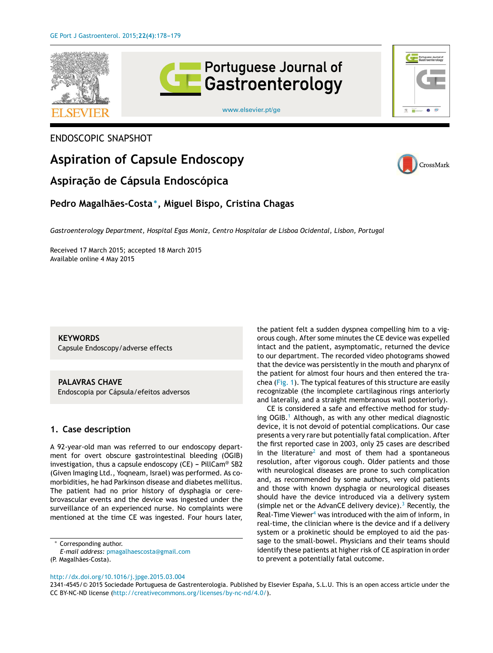

[www.elsevier.pt/ge](http://www.elsevier.pt/ge)

## ENDOSCOPIC SNAPSHOT

# **Aspiration of Capsule Endoscopy**

# **Aspirac¸ão de Cápsula Endoscópica**

# **Pedro Magalhães-Costa** <sup>∗</sup> **, Miguel Bispo, Cristina Chagas**

*Gastroenterology Department, Hospital Egas Moniz, Centro Hospitalar de Lisboa Ocidental, Lisbon, Portugal*

Received 17 March 2015; accepted 18 March 2015 Available online 4 May 2015

**KEYWORDS** Capsule Endoscopy/adverse effects

**PALAVRAS CHAVE** Endoscopia por Cápsula/efeitos adversos

### **1. Case description**

A 92-year-old man was referred to our endoscopy department for overt obscure gastrointestinal bleeding (OGIB) investigation, thus a capsule endoscopy (CE) - PillCam<sup>®</sup> SB2 (Given Imaging Ltd., Yoqneam, Israel) was performed. As comorbidities, he had Parkinson disease and diabetes mellitus. The patient had no prior history of dysphagia or cerebrovascular events and the device was ingested under the surveillance of an experienced nurse. No complaints were mentioned at the time CE was ingested. Four hours later,

<sup>∗</sup> Corresponding author.

*E-mail address:* [pmagalhaescosta@gmail.com](mailto:pmagalhaescosta@gmail.com)

the patient felt a sudden dyspnea compelling him to a vigorous cough. After some minutes the CE device was expelled intact and the patient, asymptomatic, returned the device to our department. The recorded video photograms showed that the device was persistently in the mouth and pharynx of the patient for almost four hours and then entered the trachea [\(Fig.](#page-1-0) 1). The typical features of this structure are easily recognizable (the incomplete cartilaginous rings anteriorly and laterally, and a straight membranous wall posteriorly).

CE is considered a safe and effective method for study-ing OGIB.<sup>[1](#page-1-0)</sup> Although, as with any other medical diagnostic device, it is not devoid of potential complications. Our case presents a very rare but potentially fatal complication. After the first reported case in 2003, only 25 cases are described in the literature<sup>[2](#page-1-0)</sup> and most of them had a spontaneous resolution, after vigorous cough. Older patients and those with neurological diseases are prone to such complication and, as recommended by some authors, very old patients and those with known dysphagia or neurological diseases should have the device introduced via a delivery system (simple net or the AdvanCE delivery device).<sup>3</sup> [R](#page-1-0)ecently, the Real-Time Vie[w](#page-1-0)er $4$  was introduced with the aim of inform, in real-time, the clinician where is the device and if a delivery system or a prokinetic should be employed to aid the passage to the small-bowel. Physicians and their teams should identify these patients at higher risk of CE aspiration in order to prevent a potentially fatal outcome.

[http://dx.doi.org/10.1016/j.jpge.2015.03.004](dx.doi.org/10.1016/j.jpge.2015.03.004)

2341-4545/© 2015 Sociedade Portuguesa de Gastrenterologia. Published by Elsevier España, S.L.U. This is an open access article under the CC BY-NC-ND license [\(http://creativecommons.org/licenses/by-nc-nd/4.0/\)](http://creativecommons.org/licenses/by-nc-nd/4.0/).





<sup>(</sup>P. Magalhães-Costa).